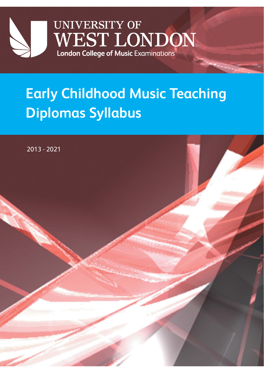

# **Early Childhood Music Teaching Diplomas Syllabus**

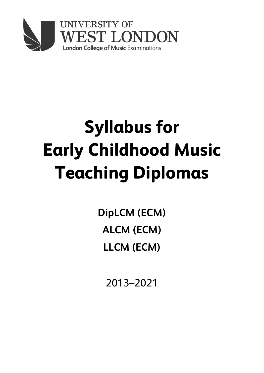

# **Syllabus for Early Childhood Music Teaching Diplomas**

**DipLCM (ECM) ALCM (ECM) LLCM (ECM)**

2013–2021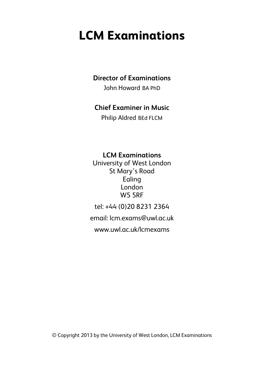# **LCM Examinations**

### **Director of Examinations**

John Howard BA PhD

### **Chief Examiner in Music**

Philip Aldred BEd FLCM

**LCM Examinations**

University of West London St Mary's Road Ealing London W5 5RF

tel: +44 (0)20 8231 2364

email: lcm.exams@uwl.ac.uk

www.uwl.ac.uk/lcmexams

© Copyright 2013 by the University of West London, LCM Examinations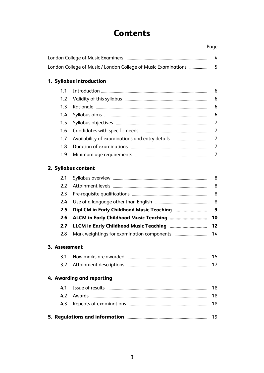### **Contents**

London College of Music Examiners ............................................................................ 4

London College of Music / London College of Music Examinations ................. 5

Page

### **1. Syllabus introduction**

|     | 6 |
|-----|---|
|     | 6 |
| 1.3 | 6 |
|     | 6 |
|     |   |
|     |   |
| 1.7 |   |
| 1.8 |   |
| 1.9 |   |

#### **2. Syllabus content**

#### **3. Assessment**

|  | 15 |
|--|----|
|  |    |

#### **4. Awarding and reporting**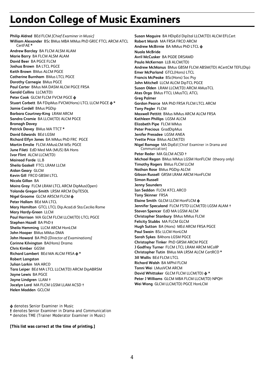## **London College of Music Examiners**

**Philip Aldred** BEd FLCM *[Chief Examiner in Music]* **William Alexander** BSc BMus MBA MMus PhD GRIC FTCL ARCM ATCL CertFAE **\* Andrew Barclay** BA FLCM ALSM ALAM **Marie Barry** BA FLCM ALSM ALAM **David Beer** BA PGCE FLCM **Joshua Brown** BA LTCL PGCE **Keith Brown** BMus ALCM PGCE **Catherine Burnham** BMus LTCL PGCE **Dorothy Carnegie** BMus PGCE **Paul Carter** BMus MA DASM ALCM PGCE FRSA **Gerald Collins** LLCM(TD) **Peter Cook** GLCM FLCM FVCM PGCE **ɸ Stuart Corbett** BA FDipMus FVCM(Hons) LTCL LLCM PGCE **ɸ \* Jamie Cordell** BMus PGDip **Barbara Courtney-King** LRAM ARCM **Sandra Cromie** BA LLCM(TD) ALCM PGCE **Bronagh Davey Patrick Davey** BMus MA TTCT **\* David Edwards** BEd LGSM **Richard Elfyn Jones** BA MMus PhD FRC PGCE **Martin Emslie** FLCM AMusLCM MSc PGCE **June Fileti** EdD Med MA (MUS) BA Hons **Ivor Flint** ALCM LLCM(TD) **Mairead Forde** LL.B **Sheila Gaskell** FTCL LRAM LLCM **Aidan Geary** GLCM **Kevin Gill** FRCO GBSM LTCL **Nicola Gillan** BA **Moira Gray** FLCM LRAM LTCL ARCM DipMus(Open) **Yolande Gregor-Smith** LRSM ARCM DipTESOL **Nigel Groome** GLCM ARSCM FLCM **ɸ Peter Hallam** BEd MA LTCL **Mary Hamilton** GTCL LTCL Dip.Acad.di Sta.Cecilia Rome **Mary Hardy-Green** LLCM **Paul Harrison** MA GLCM FLCM LLCM(TD) LTCL PGCE **Stephen Hazell** BA PhD **† Sheila Hemming** LLCM ARCM HonLCM **John Hooper** BMus MMus DMA **John Howard** BA PhD *[Director of Examinations]*  **Corinne Kilvington** BA(Hons) Drama **Chris Kimber** GGSM **Richard Lambert** BEd MA ALCM FRSA **ɸ \* Robert Langston Julian Larkin** MA ARCO **Tara Leiper** BEd MA LTCL LLCM(TD) ARCM DipABRSM **Jayne Lewis** BA PGCE **Jayne Lindgren** LLAM † **Jocelyn Lord** MA FLCM LGSM LLAM ACSD † **Helen Madden** GCLCM

**Susan Maguire** BA HDipEd DipItal LLCM(TD) ALCM EFLCert **Robert Marsh** MA FRSA FRCO ARCM **Andrew McBirnie** BA MMus PhD LTCL **ɸ Nuala McBride Avril McCusker** BA PGDE DRSAMD **Paula McKernan** LLB ALCM(TD) **Andrew McManus** BMus GBSM FLCM ABSM(TD) ACertCM TEFL(Dip) **Emer McParland** GTCL(Hons) LTCL **Francis McPeake** BSc(Hons) Soc Psy **John Mitchell** LLCM ALCM DipTCL PGCE **Susan Olden** LRAM LLCM(TD) ARCM AMusTCL **Ates Orga** BMus FTCL LMusTCL ATCL **Greg Palmer Gordon Pearce** MA PhD FRSA FLCM LTCL ARCM **Tony Pegler** FLCM **Maxwell Pettitt** BMus MMus ARCM ALCM FRSA **Kathleen Phillips** LGSM ALCM **Elizabeth Pipe** FLCM MMus **Peter Precious** GradDipMus **Jenifer Pressdee** LGSM ANEA **Yvette Price** BMus ALCM(TD) **Nigel Ramage** MA DipEd *[Chief Examiner in Drama and Communication]* **Peter Reder** MA GLCM ACSD † **Michael Regan** BMus MMus LGSM HonFLCM (theory only) **Timothy Rogers** BMus FLCM LLCM **Nathan Rose** BMus PGDip ALCM **Gibson Russell** GRSM LRAM ARCM HonFLCM **Simon Russell Jenny Saunders Ian Seddon** FLCM ATCL ARCO **Tony Skinner** FRSA **Elaine Smith** GLCM LLCM HonFLCM **ɸ Jennifer Speculand** FLCM FSTD LLCM(TD) LGSM ALAM † **Steven Spencer** EdD MA LGSM ALCM **Christopher Stanbury** BMus MMus FLCM **Felicity Stubbs** MA FLCM GLCM **Hugh Sutton** BA (Hons) MEd ARCM FRSA PGCE **Paul Swain** BSc LLCM HonLCM **Sarah Sykes** BAhons LGSM PGCE **Christopher Tinker** PhD GRSM ARCM PGCE **J Godfrey Turner** FLCM LTCL LRAM ARCM MCollP **Christopher Tutin** BMus MA LRSM ALCM CertRCO **\* Jill Wallis** BEd FLCM LTCL **Richard Walsh** BA MPhil FLCM **Tonni Wei** LMusVCM ARCM **David Whittaker** GLCM FLCM LLCM(TD) **ɸ \* Peter J Williams** GLCM MBA FLCM LLCM(TD) NPQH

**Wei Wong** GLCM LLCM(TD) PGCE HonLCM

**ɸ** denotes Senior Examiner in Music

**†** denotes Senior Examiner in Drama and Communication

**\*** denotes TME (Trainer Moderator Examiner in Music)

**[This list was correct at the time of printing.]**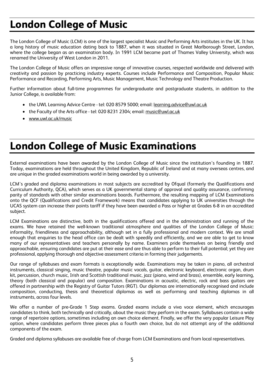# **London College of Music**

The London College of Music (LCM) is one of the largest specialist Music and Performing Arts institutes in the UK. It has a long history of music education dating back to 1887, when it was situated in Great Marlborough Street, London, where the college began as an examination body. In 1991 LCM became part of Thames Valley University, which was renamed the University of West London in 2011.

The London College of Music offers an impressive range of innovative courses, respected worldwide and delivered with creativity and passion by practicing industry experts. Courses include Performance and Composition, Popular Music Performance and Recording, Performing Arts, Music Management, Music Technology and Theatre Production.

Further information about full-time programmes for undergraduate and postgraduate students, in addition to the Junior College, is available from:

- the UWL Learning Advice Centre tel: 020 8579 5000; email: learning.advice@uwl.ac.uk
- the Faculty of the Arts office tel: 020 8231 2304; email: music@uwl.ac.uk
- www.uwl.ac.uk/music

# **London College of Music Examinations**

External examinations have been awarded by the London College of Music since the institution's founding in 1887. Today, examinations are held throughout the United Kingdom, Republic of Ireland and at many overseas centres, and are unique in the graded examinations world in being awarded by a university.

LCM's graded and diploma examinations in most subjects are accredited by Ofqual (formerly the Qualifications and Curriculum Authority, QCA), which serves as a UK governmental stamp of approval and quality assurance, confirming parity of standards with other similar examinations boards. Furthermore, the resulting mapping of LCM Examinations onto the QCF (Qualifications and Credit Framework) means that candidates applying to UK universities through the UCAS system can increase their points tariff if they have been awarded a Pass or higher at Grades 6-8 in an accredited subject.

LCM Examinations are distinctive, both in the qualifications offered and in the administration and running of the exams. We have retained the well-known traditional atmosphere and qualities of the London College of Music: informality, friendliness and approachability, although set in a fully professional and modern context. We are small enough that enquiries to the head office can be dealt with speedily and efficiently, and we are able to get to know many of our representatives and teachers personally by name. Examiners pride themselves on being friendly and approachable, ensuring candidates are put at their ease and are thus able to perform to their full potential; yet they are professional, applying thorough and objective assessment criteria in forming their judgements.

Our range of syllabuses and exam formats is exceptionally wide. Examinations may be taken in piano, all orchestral instruments, classical singing, music theatre, popular music vocals, guitar, electronic keyboard, electronic organ, drum kit, percussion, church music, Irish and Scottish traditional music, jazz (piano, wind and brass), ensemble, early learning, theory (both classical and popular) and composition. Examinations in acoustic, electric, rock and bass guitars are offered in partnership with the Registry of Guitar Tutors (RGT). Our diplomas are internationally recognised and include composition, conducting, thesis and theoretical diplomas as well as performing and teaching diplomas in all instruments, across four levels.

We offer a number of pre-Grade 1 Step exams. Graded exams include a viva voce element, which encourages candidates to think, both technically and critically, about the music they perform in the exam. Syllabuses contain a wide range of repertoire options, sometimes including an own choice element. Finally, we offer the very popular Leisure Play option, where candidates perform three pieces plus a fourth own choice, but do not attempt any of the additional components of the exam.

Graded and diploma syllabuses are available free of charge from LCM Examinations and from local representatives.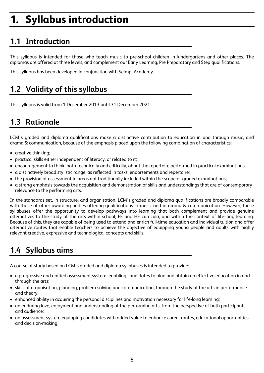# **1. Syllabus introduction**

### **1.1 Introduction**

This syllabus is intended for those who teach music to pre-school children in kindergartens and other places. The diplomas are offered at three levels, and complement our Early Learning, Pre Preparatory and Step qualifications.

This syllabus has been developed in conjunction with Seimpi Academy.

### **1.2 Validity of this syllabus**

This syllabus is valid from 1 December 2013 until 31 December 2021.

### **1.3 Rationale**

LCM's graded and diploma qualifications make a distinctive contribution to education in and through music, and drama & communication, because of the emphasis placed upon the following combination of characteristics:

- creative thinking;
- practical skills either independent of literacy, or related to it;
- encouragement to think, both technically and critically, about the repertoire performed in practical examinations;
- a distinctively broad stylistic range, as reflected in tasks, endorsements and repertoire;
- the provision of assessment in areas not traditionally included within the scope of graded examinations;
- a strong emphasis towards the acquisition and demonstration of skills and understandings that are of contemporary relevance to the performing arts.

In the standards set, in structure, and organisation, LCM's graded and diploma qualifications are broadly comparable with those of other awarding bodies offering qualifications in music and in drama & communication. However, these syllabuses offer the opportunity to develop pathways into learning that both complement and provide genuine alternatives to the study of the arts within school, FE and HE curricula, and within the context of life-long learning. Because of this, they are capable of being used to extend and enrich full-time education and individual tuition and offer alternative routes that enable teachers to achieve the objective of equipping young people and adults with highly relevant creative, expressive and technological concepts and skills.

### **1.4 Syllabus aims**

A course of study based on LCM's graded and diploma syllabuses is intended to provide:

- a progressive and unified assessment system, enabling candidates to plan and obtain an effective education in and through the arts;
- skills of organisation, planning, problem-solving and communication, through the study of the arts in performance and theory;
- enhanced ability in acquiring the personal disciplines and motivation necessary for life-long learning;
- an enduring love, enjoyment and understanding of the performing arts, from the perspective of both participants and audience;
- an assessment system equipping candidates with added-value to enhance career routes, educational opportunities and decision-making.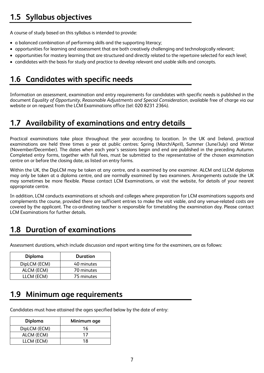### **1.5 Syllabus objectives**

A course of study based on this syllabus is intended to provide:

- a balanced combination of performing skills and the supporting literacy;
- opportunities for learning and assessment that are both creatively challenging and technologically relevant;
- opportunities for mastery learning that are structured and directly related to the repertoire selected for each level;
- candidates with the basis for study and practice to develop relevant and usable skills and concepts.

### **1.6 Candidates with specific needs**

Information on assessment, examination and entry requirements for candidates with specific needs is published in the document *Equality of Opportunity, Reasonable Adjustments and Special Consideration*, available free of charge via our website or on request from the LCM Examinations office (tel: 020 8231 2364).

### **1.7 Availability of examinations and entry details**

Practical examinations take place throughout the year according to location. In the UK and Ireland, practical examinations are held three times a year at public centres: Spring (March/April), Summer (June/July) and Winter (November/December). The dates when each year's sessions begin and end are published in the preceding Autumn. Completed entry forms, together with full fees, must be submitted to the representative of the chosen examination centre on or before the closing date, as listed on entry forms.

Within the UK, the DipLCM may be taken at any centre, and is examined by one examiner. ALCM and LLCM diplomas may only be taken at a diploma centre, and are normally examined by two examiners. Arrangements outside the UK may sometimes be more flexible. Please contact LCM Examinations, or visit the website, for details of your nearest appropriate centre.

In addition, LCM conducts examinations at schools and colleges where preparation for LCM examinations supports and complements the course, provided there are sufficient entries to make the visit viable, and any venue-related costs are covered by the applicant. The co-ordinating teacher is responsible for timetabling the examination day. Please contact LCM Examinations for further details.

### **1.8 Duration of examinations**

Assessment durations, which include discussion and report writing time for the examiners, are as follows:

| Diploma      | Duration   |
|--------------|------------|
| DipLCM (ECM) | 40 minutes |
| ALCM (ECM)   | 70 minutes |
| LLCM (ECM)   | 75 minutes |

### **1.9 Minimum age requirements**

Candidates must have attained the ages specified below by the date of entry:

| Diploma      | Minimum age |
|--------------|-------------|
| DipLCM (ECM) | 16          |
| ALCM (ECM)   | 17          |
| LLCM (ECM)   | 18          |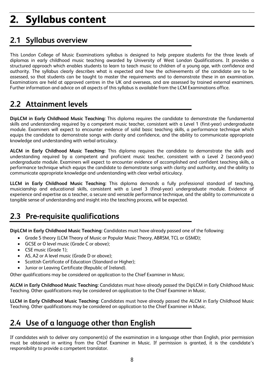# **2. Syllabus content**

### **2.1 Syllabus overview**

This London College of Music Examinations syllabus is designed to help prepare students for the three levels of diplomas in early childhood music teaching awarded by University of West London Qualifications. It provides a structured approach which enables students to learn to teach music to children of a young age, with confidence and authority. The syllabus clearly describes what is expected and how the achievements of the candidate are to be assessed, so that students can be taught to master the requirements and to demonstrate these in an examination. Examinations are held at approved centres in the UK and overseas, and are assessed by trained external examiners. Further information and advice on all aspects of this syllabus is available from the LCM Examinations office.

### **2.2 Attainment levels**

**DipLCM in Early Childhood Music Teaching:** This diploma requires the candidate to demonstrate the fundamental skills and understanding required by a competent music teacher, consistent with a Level 1 (first-year) undergraduate module. Examiners will expect to encounter evidence of solid basic teaching skills, a performance technique which equips the candidate to demonstrate songs with clarity and confidence, and the ability to communicate appropriate knowledge and understanding with verbal articulacy.

**ALCM in Early Childhood Music Teaching:** This diploma requires the candidate to demonstrate the skills and understanding required by a competent and proficient music teacher, consistent with a Level 2 (second-year) undergraduate module. Examiners will expect to encounter evidence of accomplished and confident teaching skills, a performance technique which equips the candidate to demonstrate songs with clarity and authority, and the ability to communicate appropriate knowledge and understanding with clear verbal articulacy.

**LLCM in Early Childhood Music Teaching:** This diploma demands a fully professional standard of teaching, musicianship and educational skills, consistent with a Level 3 (final-year) undergraduate module. Evidence of experience and expertise as a teacher, a secure and versatile performance technique, and the ability to communicate a tangible sense of understanding and insight into the teaching process, will be expected.

### **2.3 Pre-requisite qualifications**

**DipLCM in Early Childhood Music Teaching:** Candidates must have already passed one of the following:

- Grade 5 theory (LCM Theory of Music or Popular Music Theory, ABRSM, TCL or GSMD);
- GCSE or O level music (Grade C or above);
- CSE music (Grade 1);
- AS, A2 or A level music (Grade D or above);
- Scottish Certificate of Education (Standard or Higher);
- Junior or Leaving Certificate (Republic of Ireland).

Other qualifications may be considered on application to the Chief Examiner in Music.

**ALCM in Early Childhood Music Teaching:** Candidates must have already passed the DipLCM in Early Childhood Music Teaching. Other qualifications may be considered on application to the Chief Examiner in Music.

**LLCM in Early Childhood Music Teaching:** Candidates must have already passed the ALCM in Early Childhood Music Teaching. Other qualifications may be considered on application to the Chief Examiner in Music.

### **2.4 Use of a language other than English**

If candidates wish to deliver any component(s) of the examination in a language other than English, prior permission must be obtained in writing from the Chief Examiner in Music. If permission is granted, it is the candidate's responsibility to provide a competent translator.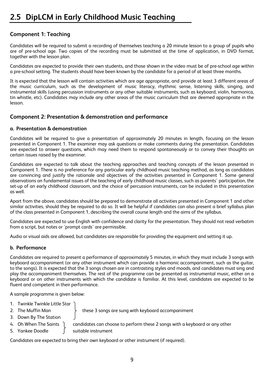### **2.5 DipLCM in Early Childhood Music Teaching**

### **Component 1: Teaching**

Candidates will be required to submit a recording of themselves teaching a 20 minute lesson to a group of pupils who are of pre-school age. Two copies of the recording must be submitted at the time of application, in DVD format, together with the lesson plan.

Candidates are expected to provide their own students, and those shown in the video must be of pre-school age within a pre-school setting. The students should have been known by the candidate for a period of at least three months.

It is expected that the lesson will contain activities which are age appropriate, and provide at least 3 different areas of the music curriculum, such as the development of music literacy, rhythmic sense, listening skills, singing, and instrumental skills (using percussion instruments or any other suitable instruments, such as keyboard, violin, harmonica, tin whistle, etc). Candidates may include any other areas of the music curriculum that are deemed appropriate in the lesson.

#### **Component 2: Presentation & demonstration and performance**

#### **a. Presentation & demonstration**

Candidates will be required to give a presentation of approximately 20 minutes in length, focusing on the lesson presented in Component 1. The examiner may ask questions or make comments during the presentation. Candidates are expected to answer questions, which may need them to respond spontaneously or to convey their thoughts on certain issues raised by the examiner.

Candidates are expected to talk about the teaching approaches and teaching concepts of the lesson presented in Component 1. There is no preference for any particular early childhood music teaching method, as long as candidates are convincing and justify the rationale and objectives of the activities presented in Component 1. Some general observations on fundamental issues of the teaching of early childhood music classes, such as parents' participation, the set-up of an early childhood classroom, and the choice of percussion instruments, can be included in this presentation as well.

Apart from the above, candidates should be prepared to demonstrate all activities presented in Component 1 and other similar activities, should they be required to do so. It will be helpful if candidates can also present a brief syllabus plan of the class presented in Component 1, describing the overall course length and the aims of the syllabus.

Candidates are expected to use English with confidence and clarity for the presentation. They should not read verbatim from a script, but notes or 'prompt cards' are permissible.

Audio or visual aids are allowed, but candidates are responsible for providing the equipment and setting it up.

#### **b. Performance**

Candidates are required to present a performance of approximately 5 minutes, in which they must include 3 songs with keyboard accompaniment (or any other instrument which can provide a harmonic accompaniment, such as the guitar, to the songs). It is expected that the 3 songs chosen are in contrasting styles and moods, and candidates must sing and play the accompaniment themselves. The rest of the programme can be presented as instrumental music, either on a keyboard or on other instruments with which the candidate is familiar. At this level, candidates are expected to be fluent and competent in their performance.

A sample programme is given below:

- 1. Twinkle Twinkle Little Star
- 
- 2. The Muffin Man  $\longrightarrow$  these 3 songs are sung with keyboard accompaniment
- 3. Down By The Station
- 4. Oh When The Saints  $\log$  candidates can choose to perform these 2 songs with a keyboard or any other
- 5. Yankee Doodle [also suitable instrument

Candidates are expected to bring their own keyboard or other instrument (if required).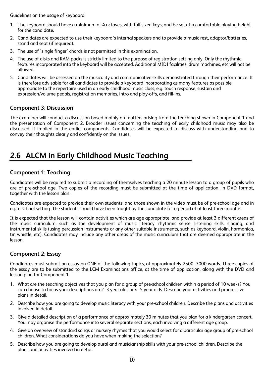Guidelines on the usage of keyboard:

- 1. The keyboard should have a minimum of 4 octaves, with full-sized keys, and be set at a comfortable playing height for the candidate.
- 2. Candidates are expected to use their keyboard's internal speakers and to provide a music rest, adaptor/batteries, stand and seat (if required).
- 3. The use of 'single finger' chords is not permitted in this examination.
- 4. The use of disks and RAM packs is strictly limited to the purpose of registration setting only. Only the rhythmic features incorporated into the keyboard will be accepted. Additional MIDI facilities, drum machines, etc will not be allowed.
- 5. Candidates will be assessed on the musicality and communicative skills demonstrated through their performance. It is therefore advisable for all candidates to provide a keyboard incorporating as many features as possible appropriate to the repertoire used in an early childhood music class, e.g. touch response, sustain and expression/volume pedals, registration memories, intro and play-offs, and fill-ins.

#### **Component 3: Discussion**

The examiner will conduct a discussion based mainly on matters arising from the teaching shown in Component 1 and the presentation of Component 2. Broader issues concerning the teaching of early childhood music may also be discussed, if implied in the earlier components. Candidates will be expected to discuss with understanding and to convey their thoughts clearly and confidently on the issues.

### **2.6 ALCM in Early Childhood Music Teaching**

### **Component 1: Teaching**

Candidates will be required to submit a recording of themselves teaching a 20 minute lesson to a group of pupils who are of pre-school age. Two copies of the recording must be submitted at the time of application, in DVD format, together with the lesson plan.

Candidates are expected to provide their own students, and those shown in the video must be of pre-school age and in a pre-school setting. The students should have been taught by the candidate for a period of at least three months.

It is expected that the lesson will contain activities which are age appropriate, and provide at least 3 different areas of the music curriculum, such as the development of music literacy, rhythmic sense, listening skills, singing, and instrumental skills (using percussion instruments or any other suitable instruments, such as keyboard, violin, harmonica, tin whistle, etc). Candidates may include any other areas of the music curriculum that are deemed appropriate in the lesson.

#### **Component 2: Essay**

Candidates must submit an essay on ONE of the following topics, of approximately 2500–3000 words. Three copies of the essay are to be submitted to the LCM Examinations office, at the time of application, along with the DVD and lesson plan for Component 1.

- 1. What are the teaching objectives that you plan for a group of pre-school children within a period of 10 weeks? You can choose to focus your descriptions on 2–3 year olds or 4–5 year olds. Describe your activities and progressive plans in detail.
- 2. Describe how you are going to develop music literacy with your pre-school children. Describe the plans and activities involved in detail.
- 3. Give a detailed description of a performance of approximately 30 minutes that you plan for a kindergarten concert. You may organise the performance into several separate sections, each involving a different age group.
- 4. Give an overview of standard songs or nursery rhymes that you would select for a particular age group of pre-school children. What considerations do you have when making the selection?
- 5. Describe how you are going to develop aural and musicianship skills with your pre-school children. Describe the plans and activities involved in detail.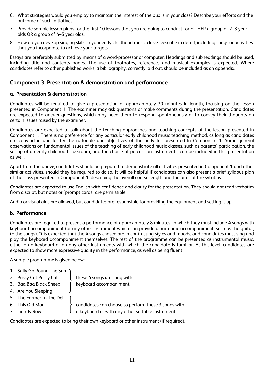- 6. What strategies would you employ to maintain the interest of the pupils in your class? Describe your efforts and the outcome of such initiatives.
- 7. Provide sample lesson plans for the first 10 lessons that you are going to conduct for EITHER a group of 2–3 year olds OR a group of 4–5 year olds.
- 8. How do you develop singing skills in your early childhood music class? Describe in detail, including songs or activities that you incorporate to achieve your targets.

Essays are preferably submitted by means of a word-processor or computer. Headings and subheadings should be used, including title and contents pages. The use of footnotes, references and musical examples is expected. Where candidates refer to other published works, a bibliography, correctly laid out, should be included as an appendix.

#### **Component 3: Presentation & demonstration and performance**

#### **a. Presentation & demonstration**

Candidates will be required to give a presentation of approximately 30 minutes in length, focusing on the lesson presented in Component 1. The examiner may ask questions or make comments during the presentation. Candidates are expected to answer questions, which may need them to respond spontaneously or to convey their thoughts on certain issues raised by the examiner.

Candidates are expected to talk about the teaching approaches and teaching concepts of the lesson presented in Component 1. There is no preference for any particular early childhood music teaching method, as long as candidates are convincing and justify the rationale and objectives of the activities presented in Component 1. Some general observations on fundamental issues of the teaching of early childhood music classes, such as parents' participation, the set-up of an early childhood classroom, and the choice of percussion instruments, can be included in this presentation as well.

Apart from the above, candidates should be prepared to demonstrate all activities presented in Component 1 and other similar activities, should they be required to do so. It will be helpful if candidates can also present a brief syllabus plan of the class presented in Component 1, describing the overall course length and the aims of the syllabus.

Candidates are expected to use English with confidence and clarity for the presentation. They should not read verbatim from a script, but notes or 'prompt cards' are permissible.

Audio or visual aids are allowed, but candidates are responsible for providing the equipment and setting it up.

#### **b. Performance**

Candidates are required to present a performance of approximately 8 minutes, in which they must include 4 songs with keyboard accompaniment (or any other instrument which can provide a harmonic accompaniment, such as the guitar, to the songs). It is expected that the 4 songs chosen are in contrasting styles and moods, and candidates must sing and play the keyboard accompaniment themselves. The rest of the programme can be presented as instrumental music, either on a keyboard or on any other instruments with which the candidate is familiar. At this level, candidates are expected to show more expressive quality in the performance, as well as being fluent.

A sample programme is given below:

- 1. Sally Go Round The Sun
- 
- 3. Baa Baa Black Sheep (keyboard accompaniment)
- 4. Are You Sleeping
- 5. The Farmer In The Dell
- 
- 

2. Pussy Cat Pussy Cat  $\parallel$  these 4 songs are sung with

6. This Old Man candidates can choose to perform these 3 songs with 7. Lightly Row  $\int a$  keyboard or with any other suitable instrument

Candidates are expected to bring their own keyboard or other instrument (if required).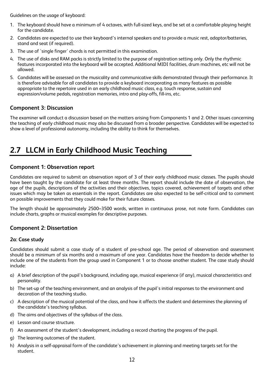Guidelines on the usage of keyboard:

- 1. The keyboard should have a minimum of 4 octaves, with full-sized keys, and be set at a comfortable playing height for the candidate.
- 2. Candidates are expected to use their keyboard's internal speakers and to provide a music rest, adaptor/batteries, stand and seat (if required).
- 3. The use of 'single finger' chords is not permitted in this examination.
- 4. The use of disks and RAM packs is strictly limited to the purpose of registration setting only. Only the rhythmic features incorporated into the keyboard will be accepted. Additional MIDI facilities, drum machines, etc will not be allowed.
- 5. Candidates will be assessed on the musicality and communicative skills demonstrated through their performance. It is therefore advisable for all candidates to provide a keyboard incorporating as many features as possible appropriate to the repertoire used in an early childhood music class, e.g. touch response, sustain and expression/volume pedals, registration memories, intro and play-offs, fill-ins, etc.

### **Component 3: Discussion**

The examiner will conduct a discussion based on the matters arising from Components 1 and 2. Other issues concerning the teaching of early childhood music may also be discussed from a broader perspective. Candidates will be expected to show a level of professional autonomy, including the ability to think for themselves.

### **2.7 LLCM in Early Childhood Music Teaching**

#### **Component 1: Observation report**

Candidates are required to submit an observation report of 3 of their early childhood music classes. The pupils should have been taught by the candidate for at least three months. The report should include the date of observation, the age of the pupils, descriptions of the activities and their objectives, topics covered, achievement of targets and other issues which may be taken as essentials in the report. Candidates are also expected to be self-critical and to comment on possible improvements that they could make for their future classes.

The length should be approximately 2500–3500 words, written in continuous prose, not note form. Candidates can include charts, graphs or musical examples for descriptive purposes.

#### **Component 2: Dissertation**

#### **2a: Case study**

Candidates should submit a case study of a student of pre-school age. The period of observation and assessment should be a minimum of six months and a maximum of one year. Candidates have the freedom to decide whether to include one of the students from the group used in Component 1 or to choose another student. The case study should include:

- a) A brief description of the pupil's background, including age, musical experience (if any), musical characteristics and personality.
- b) The set-up of the teaching environment, and an analysis of the pupil's initial responses to the environment and decoration of the teaching studio.
- c) A description of the musical potential of the class, and how it affects the student and determines the planning of the candidate's teaching syllabus.
- d) The aims and objectives of the syllabus of the class.
- e) Lesson and course structure.
- f) An assessment of the student's development, including a record charting the progress of the pupil.
- g) The learning outcomes of the student.
- h) Analysis in a self-appraisal form of the candidate's achievement in planning and meeting targets set for the student.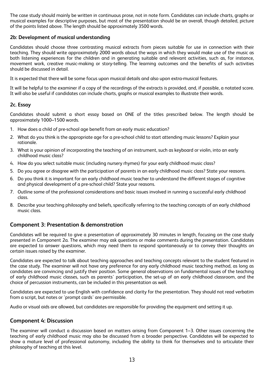The case study should mainly be written in continuous prose, not in note form. Candidates can include charts, graphs or musical examples for descriptive purposes, but most of the presentation should be an overall, though detailed, picture of the points listed above. The length should be approximately 3500 words.

#### **2b: Development of musical understanding**

Candidates should choose three contrasting musical extracts from pieces suitable for use in connection with their teaching. They should write approximately 2000 words about the ways in which they would make use of the music as both listening experiences for the children and in generating suitable and relevant activities, such as, for instance, movement work, creative music-making or story-telling. The learning outcomes and the benefits of such activities should be discussed in detail.

It is expected that there will be some focus upon musical details and also upon extra-musical features.

It will be helpful to the examiner if a copy of the recordings of the extracts is provided, and, if possible, a notated score. It will also be useful if candidates can include charts, graphs or musical examples to illustrate their words.

#### **2c. Essay**

Candidates should submit a short essay based on ONE of the titles prescribed below. The length should be approximately 1000–1500 words.

- 1. How does a child of pre-school age benefit from an early music education?
- 2. What do you think is the appropriate age for a pre-school child to start attending music lessons? Explain your rationale.
- 3. What is your opinion of incorporating the teaching of an instrument, such as keyboard or violin, into an early childhood music class?
- 4. How do you select suitable music (including nursery rhymes) for your early childhood music class?
- 5. Do you agree or disagree with the participation of parents in an early childhood music class? State your reasons.
- 6. Do you think it is important for an early childhood music teacher to understand the different stages of cognitive and physical development of a pre-school child? State your reasons.
- 7. Outline some of the professional considerations and basic issues involved in running a successful early childhood class.
- 8. Describe your teaching philosophy and beliefs, specifically referring to the teaching concepts of an early childhood music class.

#### **Component 3: Presentation & demonstration**

Candidates will be required to give a presentation of approximately 30 minutes in length, focusing on the case study presented in Component 2a. The examiner may ask questions or make comments during the presentation. Candidates are expected to answer questions, which may need them to respond spontaneously or to convey their thoughts on certain issues raised by the examiner.

Candidates are expected to talk about teaching approaches and teaching concepts relevant to the student featured in the case study. The examiner will not have any preference for any early childhood music teaching method, as long as candidates are convincing and justify their position. Some general observations on fundamental issues of the teaching of early childhood music classes, such as parents' participation, the set-up of an early childhood classroom, and the choice of percussion instruments, can be included in this presentation as well.

Candidates are expected to use English with confidence and clarity for the presentation. They should not read verbatim from a script, but notes or 'prompt cards' are permissible.

Audio or visual aids are allowed, but candidates are responsible for providing the equipment and setting it up.

#### **Component 4: Discussion**

The examiner will conduct a discussion based on matters arising from Component 1–3. Other issues concerning the teaching of early childhood music may also be discussed from a broader perspective. Candidates will be expected to show a mature level of professional autonomy, including the ability to think for themselves and to articulate their philosophy of teaching at this level.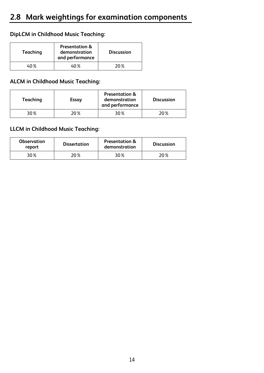### **DipLCM in Childhood Music Teaching:**

| Teaching | <b>Presentation &amp;</b><br>demonstration<br>and performance | <b>Discussion</b> |
|----------|---------------------------------------------------------------|-------------------|
| 40 %     | 40 %                                                          | 20 X              |

### **ALCM in Childhood Music Teaching:**

| Teaching | Essay | <b>Presentation &amp;</b><br>demonstration<br>and performance | <b>Discussion</b> |
|----------|-------|---------------------------------------------------------------|-------------------|
| 30%      | 20 %  | 30%                                                           | 20%               |

### **LLCM in Childhood Music Teaching:**

| <b>Observation</b><br>report | <b>Dissertation</b> | <b>Presentation &amp;</b><br>demonstration | <b>Discussion</b> |
|------------------------------|---------------------|--------------------------------------------|-------------------|
| 30%                          | ?0 %                | 30%                                        | 20%               |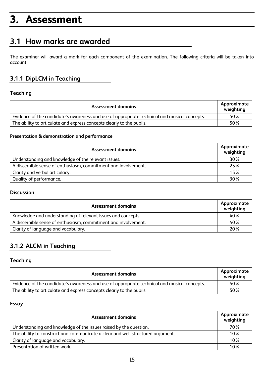## **3. Assessment**

### **3.1 How marks are awarded**

The examiner will award a mark for each component of the examination. The following criteria will be taken into account:

### **3.1.1 DipLCM in Teaching**

#### **Teaching**

| <b>Assessment domains</b>                                                                    |     |  |
|----------------------------------------------------------------------------------------------|-----|--|
| Evidence of the candidate's awareness and use of appropriate technical and musical concepts. | 50% |  |
| The ability to articulate and express concepts clearly to the pupils.                        |     |  |

#### **Presentation & demonstration and performance**

| Assessment domains                                             | Approximate<br>weighting |
|----------------------------------------------------------------|--------------------------|
| Understanding and knowledge of the relevant issues.            | 30%                      |
| A discernible sense of enthusiasm, commitment and involvement. |                          |
| Clarity and verbal articulacy.                                 |                          |
| Quality of performance.                                        | 30%                      |

#### **Discussion**

| <b>Assessment domains</b>                                      | Approximate<br>weighting |
|----------------------------------------------------------------|--------------------------|
| Knowledge and understanding of relevant issues and concepts.   | 40%                      |
| A discernible sense of enthusiasm, commitment and involvement. | 40%                      |
| Clarity of language and vocabulary.                            | 20%                      |

### **3.1.2 ALCM in Teaching**

### **Teaching**

| <b>Assessment domains</b>                                                                    | Approximate<br>weighting |
|----------------------------------------------------------------------------------------------|--------------------------|
| Evidence of the candidate's awareness and use of appropriate technical and musical concepts. | 50%                      |
| The ability to articulate and express concepts clearly to the pupils.                        | 50%                      |

#### **Essay**

| Assessment domains                                                             | Approximate<br>weighting |
|--------------------------------------------------------------------------------|--------------------------|
| Understanding and knowledge of the issues raised by the question.              | 70%                      |
| The ability to construct and communicate a clear and well-structured argument. | 10%                      |
| Clarity of language and vocabulary.                                            | 10%                      |
| Presentation of written work.                                                  | 10%                      |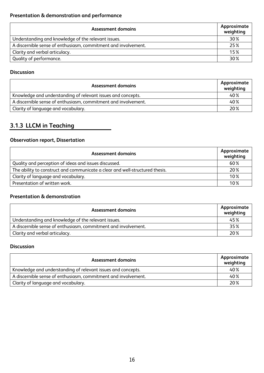| Assessment domains                                             | Approximate<br>weighting |
|----------------------------------------------------------------|--------------------------|
| Understanding and knowledge of the relevant issues.            | 30 %                     |
| A discernible sense of enthusiasm, commitment and involvement. | 25%                      |
| Clarity and verbal articulacy.                                 | 15%                      |
| Quality of performance.                                        | 30 %                     |

### **Discussion**

| <b>Assessment domains</b>                                      | Approximate<br>weighting |
|----------------------------------------------------------------|--------------------------|
| Knowledge and understanding of relevant issues and concepts.   | 40%                      |
| A discernible sense of enthusiasm, commitment and involvement. | 40%                      |
| Clarity of language and vocabulary.                            | 20%                      |

### **3.1.3 LLCM in Teaching**

### **Observation report, Dissertation**

| <b>Assessment domains</b>                                                    | Approximate<br>weighting |
|------------------------------------------------------------------------------|--------------------------|
| Quality and perception of ideas and issues discussed.                        | 60%                      |
| The ability to construct and communicate a clear and well-structured thesis. | 20%                      |
| Clarity of language and vocabulary.                                          | 10%                      |
| Presentation of written work.                                                | 10%                      |

#### **Presentation & demonstration**

| <b>Assessment domains</b>                                      | Approximate<br>weighting |
|----------------------------------------------------------------|--------------------------|
| Understanding and knowledge of the relevant issues.            | 45%                      |
| A discernible sense of enthusiasm, commitment and involvement. | 35%                      |
| Clarity and verbal articulacy.                                 | 20%                      |

#### **Discussion**

| Assessment domains                                             | Approximate<br>weighting |
|----------------------------------------------------------------|--------------------------|
| Knowledge and understanding of relevant issues and concepts.   | 40%                      |
| A discernible sense of enthusiasm, commitment and involvement. | 40%                      |
| Clarity of language and vocabulary.                            | 20%                      |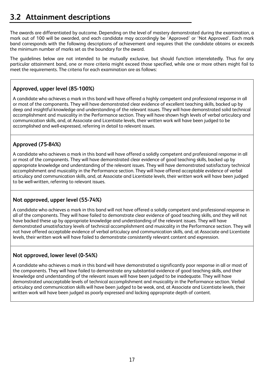The awards are differentiated by outcome. Depending on the level of mastery demonstrated during the examination, a mark out of 100 will be awarded, and each candidate may accordingly be 'Approved' or 'Not Approved'. Each mark band corresponds with the following descriptions of achievement and requires that the candidate obtains or exceeds the minimum number of marks set as the boundary for the award.

The guidelines below are not intended to be mutually exclusive, but should function interrelatedly. Thus for any particular attainment band, one or more criteria might exceed those specified, while one or more others might fail to meet the requirements. The criteria for each examination are as follows:

### **Approved, upper level (85-100%)**

A candidate who achieves a mark in this band will have offered a highly competent and professional response in all or most of the components. They will have demonstrated clear evidence of excellent teaching skills, backed up by deep and insightful knowledge and understanding of the relevant issues. They will have demonstrated solid technical accomplishment and musicality in the Performance section. They will have shown high levels of verbal articulacy and communication skills, and, at Associate and Licentiate levels, their written work will have been judged to be accomplished and well-expressed, referring in detail to relevant issues.

### **Approved (75-84%)**

A candidate who achieves a mark in this band will have offered a solidly competent and professional response in all or most of the components. They will have demonstrated clear evidence of good teaching skills, backed up by appropriate knowledge and understanding of the relevant issues. They will have demonstrated satisfactory technical accomplishment and musicality in the Performance section. They will have offered acceptable evidence of verbal articulacy and communication skills, and, at Associate and Licentiate levels, their written work will have been judged to be well-written, referring to relevant issues.

### **Not approved, upper level (55-74%)**

A candidate who achieves a mark in this band will not have offered a solidly competent and professional response in all of the components. They will have failed to demonstrate clear evidence of good teaching skills, and they will not have backed these up by appropriate knowledge and understanding of the relevant issues. They will have demonstrated unsatisfactory levels of technical accomplishment and musicality in the Performance section. They will not have offered acceptable evidence of verbal articulacy and communication skills, and, at Associate and Licentiate levels, their written work will have failed to demonstrate consistently relevant content and expression.

### **Not approved, lower level (0-54%)**

A candidate who achieves a mark in this band will have demonstrated a significantly poor response in all or most of the components. They will have failed to demonstrate any substantial evidence of good teaching skills, and their knowledge and understanding of the relevant issues will have been judged to be inadequate. They will have demonstrated unacceptable levels of technical accomplishment and musicality in the Performance section. Verbal articulacy and communication skills will have been judged to be weak, and, at Associate and Licentiate levels, their written work will have been judged as poorly expressed and lacking appropriate depth of content.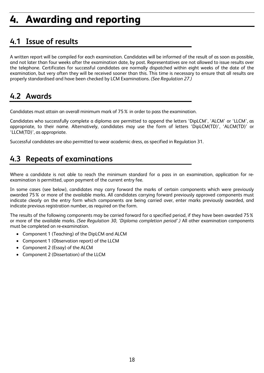# **4. Awarding and reporting**

### **4.1 Issue of results**

A written report will be compiled for each examination. Candidates will be informed of the result of as soon as possible, and not later than four weeks after the examination date, by post. Representatives are not allowed to issue results over the telephone. Certificates for successful candidates are normally dispatched within eight weeks of the date of the examination, but very often they will be received sooner than this. This time is necessary to ensure that all results are properly standardised and have been checked by LCM Examinations. *(See Regulation 27.)*

### **4.2 Awards**

Candidates must attain an overall minimum mark of 75% in order to pass the examination.

Candidates who successfully complete a diploma are permitted to append the letters 'DipLCM', 'ALCM' or 'LLCM', as appropriate, to their name. Alternatively, candidates may use the form of letters 'DipLCM(TD)', 'ALCM(TD)' or 'LLCM(TD)', as appropriate.

Successful candidates are also permitted to wear academic dress, as specified in Regulation 31.

### **4.3 Repeats of examinations**

Where a candidate is not able to reach the minimum standard for a pass in an examination, application for reexamination is permitted, upon payment of the current entry fee.

In some cases (see below), candidates may carry forward the marks of certain components which were previously awarded 75% or more of the available marks. All candidates carrying forward previously approved components must indicate clearly on the entry form which components are being carried over, enter marks previously awarded, and indicate previous registration number, as required on the form.

The results of the following components may be carried forward for a specified period, if they have been awarded 75% or more of the available marks. *(See Regulation 30, 'Diploma completion period'.)* All other examination components must be completed on re-examination.

- Component 1 (Teaching) of the DipLCM and ALCM
- Component 1 (Observation report) of the LLCM
- Component 2 (Essay) of the ALCM
- Component 2 (Dissertation) of the LLCM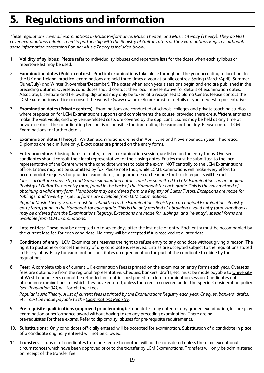# **5. Regulations and information**

*These regulations cover all examinations in Music Performance, Music Theatre, and Music Literacy (Theory). They do NOT cover examinations administered in partnership with the Registry of Guitar Tutors or the Examinations Registry, although some information concerning Popular Music Theory is included below.*

- 1. **Validity of syllabus:** Please refer to individual syllabuses and repertoire lists for the dates when each syllabus or repertoire list may be used.
- 2. **Examination dates (Public centres):** Practical examinations take place throughout the year according to location. In the UK and Ireland, practical examinations are held three times a year at public centres: Spring (March/April), Summer (June/July) and Winter (November/December). The dates when each year's sessions begin and end are published in the preceding autumn. Overseas candidates should contact their local representative for details of examination dates. Associate, Licentiate and Fellowship diplomas may only be taken at a recognised Diploma Centre. Please contact the LCM Examinations office or consult the website (www.uwl.ac.uk/lcmexams) for details of your nearest representative.
- 3. **Examination dates (Private centres):** Examinations are conducted at schools, colleges and private teaching studios where preparation for LCM Examinations supports and complements the course, provided there are sufficient entries to make the visit viable, and any venue-related costs are covered by the applicant. Exams may be held at any time at private centres. The co-ordinating teacher is responsible for timetabling the examination day. Please contact LCM Examinations for further details.
- 4. **Examination dates (Theory):** Written examinations are held in April, June and November each year. Theoretical Diplomas are held in June only. Exact dates are printed on the entry forms.
- 5. **Entry procedure:** Closing dates for entry, for each examination session, are listed on the entry forms. Overseas candidates should consult their local representative for the closing dates. Entries must be submitted to the local representative of the Centre where the candidate wishes to take the exam; NOT centrally to the LCM Examinations office. Entries may not be submitted by fax. Please note that, while LCM Examinations will make every effort to accommodate requests for practical exam dates, no guarantee can be made that such requests will be met.

*Classical Guitar Exams: Step and Grade examination entries must be submitted to LCM Examinations on an original Registry of Guitar Tutors entry form, found in the back of the Handbook for each grade. This is the only method of obtaining a valid entry form. Handbooks may be ordered from the Registry of Guitar Tutors. Exceptions are made for 'siblings' and 're-entry'; special forms are available from LCM Examinations.*

*Popular Music Theory: Entries must be submitted to the Examinations Registry on an original Examinations Registry entry form, found in the Handbook for each grade. This is the only method of obtaining a valid entry form. Handbooks may be ordered from the Examinations Registry. Exceptions are made for 'siblings' and 're-entry'; special forms are available from LCM Examinations.*

- 6. **Late entries:** These may be accepted up to seven days after the last date of entry. Each entry must be accompanied by the current late fee for each candidate. No entry will be accepted if it is received at a later date.
- 7. **Conditions of entry:** LCM Examinations reserves the right to refuse entry to any candidate without giving a reason. The right to postpone or cancel the entry of any candidate is reserved. Entries are accepted subject to the regulations stated in this syllabus. Entry for examination constitutes an agreement on the part of the candidate to abide by the regulations.
- 8. **Fees:** A complete table of current UK examination fees is printed on the examination entry forms each year. Overseas fees are obtainable from the regional representative. Cheques, bankers' drafts, etc. must be made payable to University of West London. Fees cannot be refunded, nor entries postponed to a later examination session. Candidates not attending examinations for which they have entered, unless for a reason covered under the Special Consideration policy *(see Regulation 34)*, will forfeit their fees.

*Popular Music Theory: A list of current fees is printed by the Examinations Registry each year. Cheques, bankers' drafts, etc. must be made payable to the Examinations Registry.* 

- 9. **Pre-requisite qualifications (approved prior learning):** Candidates may enter for any graded examination, leisure play examination or performance award without having taken any preceding examination. There are no pre-requisites for these exams. Refer to diploma syllabuses for pre-requisite requirements.
- 10. **Substitutions:** Only candidates officially entered will be accepted for examination. Substitution of a candidate in place of a candidate originally entered will not be allowed.
- 11. **Transfers:** Transfer of candidates from one centre to another will not be considered unless there are exceptional circumstances which have been approved prior to the transfer by LCM Examinations*.* Transfers will only be administered on receipt of the transfer fee.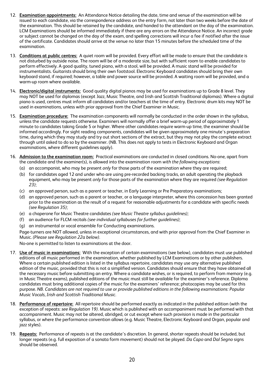- 12. **Examination appointments:** An Attendance Notice detailing the date, time and venue of the examination will be issued to each candidate, via the correspondence address on the entry form, not later than two weeks before the date of the examination. This should be retained by the candidate, and handed to the attendant on the day of the examination. LCM Examinations should be informed immediately if there are any errors on the Attendance Notice. An incorrect grade or subject cannot be changed on the day of the exam, and spelling corrections will incur a fee if notified after the issue of the certificate. Candidates should arrive at the venue no later than 15 minutes before the scheduled time of the examination.
- 13. **Conditions at public centres:** A quiet room will be provided. Every effort will be made to ensure that the candidate is not disturbed by outside noise. The room will be of a moderate size, but with sufficient room to enable candidates to perform effectively. A good quality, tuned piano, with a stool, will be provided. A music stand will be provided for instrumentalists. Guitarists should bring their own footstool. Electronic Keyboard candidates should bring their own keyboard stand, if required; however, a table and power source will be provided. A waiting room will be provided, and a warm-up room where available.
- 14. **Electronic/digital instruments:** Good quality digital pianos may be used for examinations up to Grade 8 level. They may NOT be used for diplomas (except Jazz, Music Theatre, and Irish and Scottish Traditional diplomas). Where a digital piano is used, centres must inform all candidates and/or teachers at the time of entry. Electronic drum kits may NOT be used in examinations, unless with prior approval from the Chief Examiner in Music.
- 15. **Examination procedure:** The examination components will normally be conducted in the order shown in the syllabus, unless the candidate requests otherwise. Examiners will normally offer a brief warm-up period of approximately 1 minute to candidates taking Grade 5 or higher. Where other candidates require warm-up time, the examiner should be informed accordingly. For sight reading components, candidates will be given approximately one minute's preparation time, during which they may study and try out short sections of the extract, but they may not play the complete extract through until asked to do so by the examiner. (NB. This does not apply to tests in Electronic Keyboard and Organ examinations, where different guidelines apply).
- 16. **Admission to the examination room:** Practical examinations are conducted in closed conditions. No-one, apart from the candidate and the examiner(s), is allowed into the examination room *with the following exceptions*:
	- (a) an accompanist, who may be present *only* for those parts of the examination where they are required;
	- (b) for candidates aged 12 and under who are using pre-recorded backing tracks, an adult operating the playback equipment, who may be present *only* for those parts of the examination where they are required *(see Regulation 23)*;
	- (c) an approved person, such as a parent or teacher, in Early Learning or Pre Preparatory examinations;
	- (d) an approved person, such as a parent or teacher, or a language interpreter, where this concession has been granted prior to the examination as the result of a request for reasonable adjustments for a candidate with specific needs *(see Regulation 35)*;
	- (e) a chaperone for Music Theatre candidates *(see Music Theatre syllabus guidelines);*
	- (f) an audience for FLCM recitals *(see individual syllabuses for further guidelines)*;
	- (g) an instrumental or vocal ensemble for Conducting examinations.

Page-turners are NOT allowed, unless in exceptional circumstances, and with prior approval from the Chief Examiner in Music. *(Please see Regulation 22a below).*

No-one is permitted to listen to examinations at the door.

- 17. **Use of music in examinations:** With the exception of certain examinations (see below), candidates must use published editions of all music performed in the examination, whether published by LCM Examinations or by other publishers. Where a certain published edition is listed in the syllabus repertoire, candidates may use any alternative published edition of the music, provided that this is not a simplified version. Candidates should ensure that they have obtained all the necessary music before submitting an entry. Where a candidate wishes, or is required, to perform from memory (e.g. in Music Theatre exams), published editions of the music must still be available for the examiner's reference. Diploma candidates must bring additional copies of the music for the examiners' reference; photocopies may be used for this purpose. *NB. Candidates are not required to use or provide published editions in the following examinations: Popular Music Vocals, Irish and Scottish Traditional Music.*
- 18. **Performance of repertoire:** All repertoire should be performed exactly as indicated in the published edition (with the exception of repeats: *see Regulation 19).* Music which is published with an accompaniment must be performed with that accompaniment. Music may not be altered, abridged, or cut except where such provision is made in the particular syllabus, or where the performance convention allows (e.g. Music Theatre, Electronic Keyboard and Organ, popular and jazz styles).
- 19. **Repeats:** Performance of repeats is at the candidate's discretion. In general, shorter repeats should be included, but longer repeats (e.g. full exposition of a sonata form movement) should not be played. *Da Capo* and *Dal Segno* signs should be observed.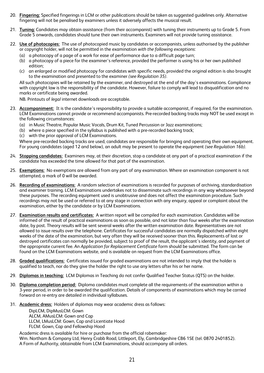- 20. **Fingering:** Specified fingerings in LCM or other publications should be taken as suggested guidelines only. Alternative fingering will not be penalised by examiners unless it adversely affects the musical result.
- 21. **Tuning:** Candidates may obtain assistance (from their accompanist) with tuning their instruments up to Grade 5. From Grade 5 onwards, candidates should tune their own instruments. Examiners will not provide tuning assistance.
- 22. **Use of photocopies:** The use of photocopied music by candidates or accompanists, unless authorised by the publisher or copyright holder, will not be permitted in the examination *with the following exceptions*:
	- (a) a photocopy of a page of a work for ease of performance due to a difficult page turn;
	- (b) a photocopy of a piece for the examiner's reference, provided the performer is using his or her own published edition;
	- (c) an enlarged or modified photocopy for candidates with specific needs, provided the original edition is also brought to the examination and presented to the examiner *(see Regulation 35).*

All such photocopies will be retained by the examiner, and destroyed at the end of the day's examinations. Compliance with copyright law is the responsibility of the candidate. However, failure to comply will lead to disqualification and no marks or certificate being awarded.

NB. Printouts of *legal* internet downloads are acceptable.

- 23. **Accompaniment:** It is the candidate's responsibility to provide a suitable accompanist, if required, for the examination. LCM Examinations cannot provide or recommend accompanists. Pre-recorded backing tracks may NOT be used except in the following circumstances:
	- (a) in Music Theatre, Popular Music Vocals, Drum Kit, Tuned Percussion or Jazz examinations;
	- (b) where a piece specified in the syllabus is published with a pre-recorded backing track;
	- (c) with the prior approval of LCM Examinations.

Where pre-recorded backing tracks are used, candidates are responsible for bringing and operating their own equipment. For young candidates (aged 12 and below), an adult may be present to operate the equipment *(see Regulation 16b).*

- 24. **Stopping candidates:** Examiners may, at their discretion, stop a candidate at any part of a practical examination if the candidate has exceeded the time allowed for that part of the examination.
- 25. **Exemptions:** No exemptions are allowed from any part of any examination. Where an examination component is not attempted, a mark of 0 will be awarded.
- 26. **Recording of examinations:** A random selection of examinations is recorded for purposes of archiving, standardisation and examiner training. LCM Examinations undertakes not to disseminate such recordings in any way whatsoever beyond these purposes. The recording equipment used is unobtrusive and does not affect the examination procedure. Such recordings may not be used or referred to at any stage in connection with any enquiry, appeal or complaint about the examination, either by the candidate or by LCM Examinations.
- 27. **Examination results and certificates:** A written report will be compiled for each examination. Candidates will be informed of the result of practical examinations as soon as possible, and not later than four weeks after the examination date, by post. Theory results will be sent several weeks after the written examination date. Representatives are not allowed to issue results over the telephone. Certificates for successful candidates are normally dispatched within eight weeks of the date of the examination, but very often they will be received sooner than this. Replacements of lost or destroyed certificates can normally be provided, subject to proof of the result, the applicant's identity, and payment of the appropriate current fee. An *Application for Replacement Certificate* form should be submitted. The form can be found on the LCM Examinations website, and is available on request from the LCM Examinations office.
- 28. **Graded qualifications:** Certificates issued for graded examinations are not intended to imply that the holder is qualified to teach, nor do they give the holder the right to use any letters after his or her name.
- 29. **Diplomas in teaching:** LCM Diplomas in Teaching do not confer Qualified Teacher Status (QTS) on the holder.
- 30. **Diploma completion period:** Diploma candidates must complete all the requirements of the examination within a 3-year period, in order to be awarded the qualification. Details of components of examinations which may be carried forward on re-entry are detailed in individual syllabuses.
- 31. **Academic dress:** Holders of diplomas may wear academic dress as follows:

DipLCM, DipMusLCM: Gown ALCM, AMusLCM: Gown and Cap LLCM, LMusLCM: Gown, Cap and Licentiate Hood FLCM: Gown, Cap and Fellowship Hood

Academic dress is available for hire or purchase from the official robemaker: Wm. Northam & Company Ltd, Henry Crabb Road, Littleport, Ely, Cambridgeshire CB6 1SE (tel. 0870 2401852). A Form of Authority, obtainable from LCM Examinations, should accompany all orders.